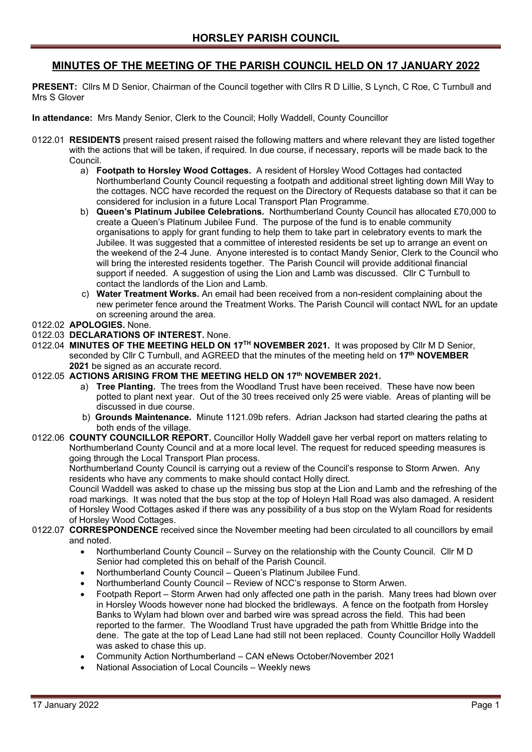# **MINUTES OF THE MEETING OF THE PARISH COUNCIL HELD ON 17 JANUARY 2022**

**PRESENT:** Cllrs M D Senior, Chairman of the Council together with Cllrs R D Lillie, S Lynch, C Roe, C Turnbull and Mrs S Glover

**In attendance:** Mrs Mandy Senior, Clerk to the Council; Holly Waddell, County Councillor

- 0122.01 **RESIDENTS** present raised present raised the following matters and where relevant they are listed together with the actions that will be taken, if required. In due course, if necessary, reports will be made back to the Council.
	- a) **Footpath to Horsley Wood Cottages.** A resident of Horsley Wood Cottages had contacted Northumberland County Council requesting a footpath and additional street lighting down Mill Way to the cottages. NCC have recorded the request on the Directory of Requests database so that it can be considered for inclusion in a future Local Transport Plan Programme.
	- b) **Queen's Platinum Jubilee Celebrations.** Northumberland County Council has allocated £70,000 to create a Queen's Platinum Jubilee Fund. The purpose of the fund is to enable community organisations to apply for grant funding to help them to take part in celebratory events to mark the Jubilee. It was suggested that a committee of interested residents be set up to arrange an event on the weekend of the 2-4 June. Anyone interested is to contact Mandy Senior, Clerk to the Council who will bring the interested residents together. The Parish Council will provide additional financial support if needed. A suggestion of using the Lion and Lamb was discussed. Cllr C Turnbull to contact the landlords of the Lion and Lamb.
	- c) **Water Treatment Works.** An email had been received from a non-resident complaining about the new perimeter fence around the Treatment Works. The Parish Council will contact NWL for an update on screening around the area.

## 0122.02 **APOLOGIES.** None.

#### 0122.03 **DECLARATIONS OF INTEREST.** None.

0122.04 **MINUTES OF THE MEETING HELD ON 17TH NOVEMBER 2021.** It was proposed by Cllr M D Senior, seconded by Cllr C Turnbull, and AGREED that the minutes of the meeting held on **17th NOVEMBER 2021** be signed as an accurate record.

#### 0122.05 **ACTIONS ARISING FROM THE MEETING HELD ON 17th NOVEMBER 2021.**

- a) **Tree Planting.** The trees from the Woodland Trust have been received. These have now been potted to plant next year. Out of the 30 trees received only 25 were viable. Areas of planting will be discussed in due course.
- b) **Grounds Maintenance.** Minute 1121.09b refers. Adrian Jackson had started clearing the paths at both ends of the village.
- 0122.06 **COUNTY COUNCILLOR REPORT.** Councillor Holly Waddell gave her verbal report on matters relating to Northumberland County Council and at a more local level. The request for reduced speeding measures is going through the Local Transport Plan process.

 Northumberland County Council is carrying out a review of the Council's response to Storm Arwen. Any residents who have any comments to make should contact Holly direct.

 Council Waddell was asked to chase up the missing bus stop at the Lion and Lamb and the refreshing of the road markings. It was noted that the bus stop at the top of Holeyn Hall Road was also damaged. A resident of Horsley Wood Cottages asked if there was any possibility of a bus stop on the Wylam Road for residents of Horsley Wood Cottages.

0122.07 **CORRESPONDENCE** received since the November meeting had been circulated to all councillors by email and noted.

- Northumberland County Council Survey on the relationship with the County Council. Cllr M D Senior had completed this on behalf of the Parish Council.
- Northumberland County Council Queen's Platinum Jubilee Fund.
- Northumberland County Council Review of NCC's response to Storm Arwen.
- Footpath Report Storm Arwen had only affected one path in the parish. Many trees had blown over in Horsley Woods however none had blocked the bridleways. A fence on the footpath from Horsley Banks to Wylam had blown over and barbed wire was spread across the field. This had been reported to the farmer. The Woodland Trust have upgraded the path from Whittle Bridge into the dene. The gate at the top of Lead Lane had still not been replaced. County Councillor Holly Waddell was asked to chase this up.
- Community Action Northumberland CAN eNews October/November 2021
- National Association of Local Councils Weekly news